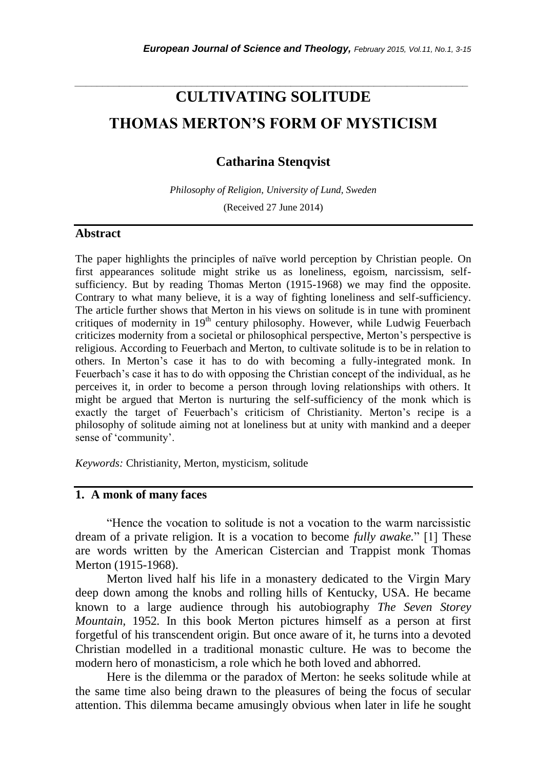# **CULTIVATING SOLITUDE THOMAS MERTON'S FORM OF MYSTICISM**

*\_\_\_\_\_\_\_\_\_\_\_\_\_\_\_\_\_\_\_\_\_\_\_\_\_\_\_\_\_\_\_\_\_\_\_\_\_\_\_\_\_\_\_\_\_\_\_\_\_\_\_\_\_\_\_\_\_\_\_\_\_\_\_\_\_\_\_\_\_\_\_*

**Catharina Stenqvist**

*Philosophy of Religion, University of Lund, Sweden* (Received 27 June 2014)

#### **Abstract**

The paper highlights the principles of naïve world perception by Christian people. On first appearances solitude might strike us as loneliness, egoism, narcissism, selfsufficiency. But by reading Thomas Merton (1915-1968) we may find the opposite. Contrary to what many believe, it is a way of fighting loneliness and self-sufficiency. The article further shows that Merton in his views on solitude is in tune with prominent critiques of modernity in 19<sup>th</sup> century philosophy. However, while Ludwig Feuerbach criticizes modernity from a societal or philosophical perspective, Merton"s perspective is religious. According to Feuerbach and Merton, to cultivate solitude is to be in relation to others. In Merton"s case it has to do with becoming a fully-integrated monk. In Feuerbach"s case it has to do with opposing the Christian concept of the individual, as he perceives it, in order to become a person through loving relationships with others. It might be argued that Merton is nurturing the self-sufficiency of the monk which is exactly the target of Feuerbach's criticism of Christianity. Merton's recipe is a philosophy of solitude aiming not at loneliness but at unity with mankind and a deeper sense of 'community'.

*Keywords:* Christianity, Merton, mysticism, solitude

# **1. A monk of many faces**

"Hence the vocation to solitude is not a vocation to the warm narcissistic dream of a private religion. It is a vocation to become *fully awake.*" [1] These are words written by the American Cistercian and Trappist monk Thomas Merton (1915-1968).

Merton lived half his life in a monastery dedicated to the Virgin Mary deep down among the knobs and rolling hills of Kentucky, USA. He became known to a large audience through his autobiography *The Seven Storey Mountain,* 1952*.* In this book Merton pictures himself as a person at first forgetful of his transcendent origin. But once aware of it, he turns into a devoted Christian modelled in a traditional monastic culture. He was to become the modern hero of monasticism, a role which he both loved and abhorred.

Here is the dilemma or the paradox of Merton: he seeks solitude while at the same time also being drawn to the pleasures of being the focus of secular attention. This dilemma became amusingly obvious when later in life he sought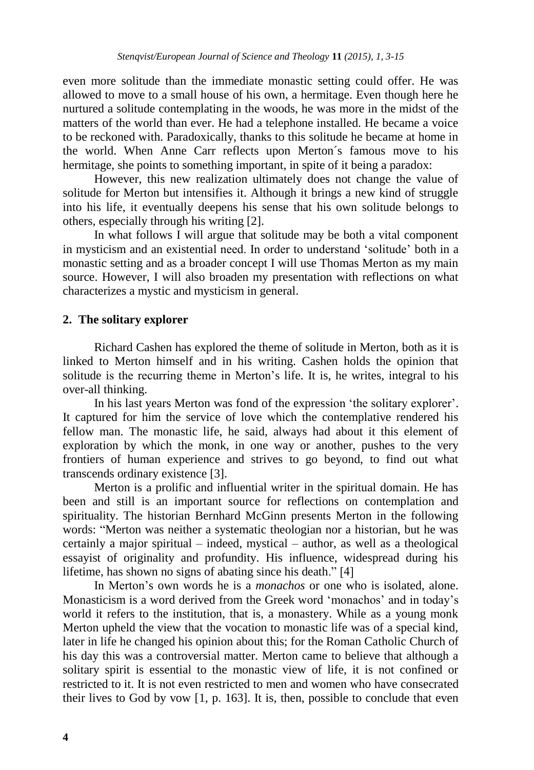even more solitude than the immediate monastic setting could offer. He was allowed to move to a small house of his own, a hermitage. Even though here he nurtured a solitude contemplating in the woods, he was more in the midst of the matters of the world than ever. He had a telephone installed. He became a voice to be reckoned with. Paradoxically, thanks to this solitude he became at home in the world. When Anne Carr reflects upon Merton´s famous move to his hermitage, she points to something important, in spite of it being a paradox:

However, this new realization ultimately does not change the value of solitude for Merton but intensifies it. Although it brings a new kind of struggle into his life, it eventually deepens his sense that his own solitude belongs to others, especially through his writing [2].

In what follows I will argue that solitude may be both a vital component in mysticism and an existential need. In order to understand "solitude" both in a monastic setting and as a broader concept I will use Thomas Merton as my main source. However, I will also broaden my presentation with reflections on what characterizes a mystic and mysticism in general.

# **2. The solitary explorer**

Richard Cashen has explored the theme of solitude in Merton, both as it is linked to Merton himself and in his writing. Cashen holds the opinion that solitude is the recurring theme in Merton's life. It is, he writes, integral to his over-all thinking.

In his last years Merton was fond of the expression "the solitary explorer". It captured for him the service of love which the contemplative rendered his fellow man. The monastic life, he said, always had about it this element of exploration by which the monk, in one way or another, pushes to the very frontiers of human experience and strives to go beyond, to find out what transcends ordinary existence [3].

Merton is a prolific and influential writer in the spiritual domain. He has been and still is an important source for reflections on contemplation and spirituality. The historian Bernhard McGinn presents Merton in the following words: "Merton was neither a systematic theologian nor a historian, but he was certainly a major spiritual – indeed, mystical – author, as well as a theological essayist of originality and profundity. His influence, widespread during his lifetime, has shown no signs of abating since his death." [4]

In Merton"s own words he is a *monachos* or one who is isolated, alone. Monasticism is a word derived from the Greek word "monachos" and in today"s world it refers to the institution, that is, a monastery. While as a young monk Merton upheld the view that the vocation to monastic life was of a special kind, later in life he changed his opinion about this; for the Roman Catholic Church of his day this was a controversial matter. Merton came to believe that although a solitary spirit is essential to the monastic view of life, it is not confined or restricted to it. It is not even restricted to men and women who have consecrated their lives to God by vow [1, p. 163]. It is, then, possible to conclude that even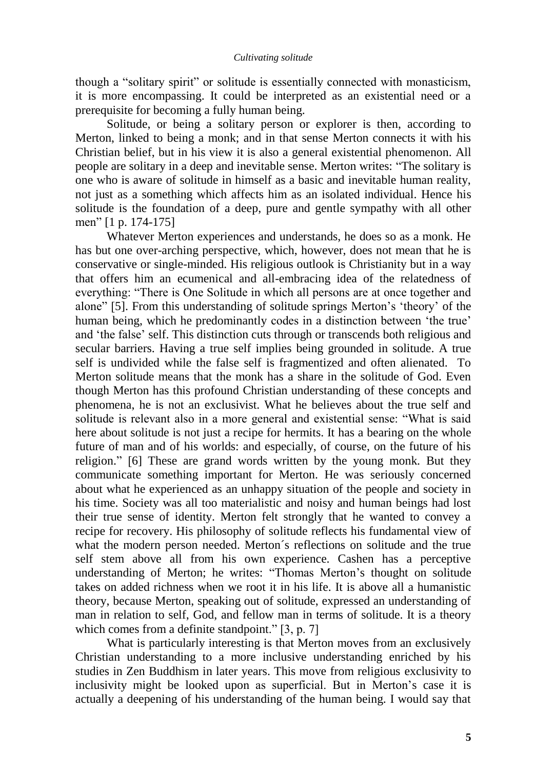though a "solitary spirit" or solitude is essentially connected with monasticism, it is more encompassing. It could be interpreted as an existential need or a prerequisite for becoming a fully human being.

Solitude, or being a solitary person or explorer is then, according to Merton, linked to being a monk; and in that sense Merton connects it with his Christian belief, but in his view it is also a general existential phenomenon. All people are solitary in a deep and inevitable sense. Merton writes: "The solitary is one who is aware of solitude in himself as a basic and inevitable human reality, not just as a something which affects him as an isolated individual. Hence his solitude is the foundation of a deep, pure and gentle sympathy with all other men" [1 p. 174-175]

Whatever Merton experiences and understands, he does so as a monk. He has but one over-arching perspective, which, however, does not mean that he is conservative or single-minded. His religious outlook is Christianity but in a way that offers him an ecumenical and all-embracing idea of the relatedness of everything: "There is One Solitude in which all persons are at once together and alone" [5]. From this understanding of solitude springs Merton"s "theory" of the human being, which he predominantly codes in a distinction between 'the true' and "the false" self. This distinction cuts through or transcends both religious and secular barriers. Having a true self implies being grounded in solitude. A true self is undivided while the false self is fragmentized and often alienated. To Merton solitude means that the monk has a share in the solitude of God. Even though Merton has this profound Christian understanding of these concepts and phenomena, he is not an exclusivist. What he believes about the true self and solitude is relevant also in a more general and existential sense: "What is said here about solitude is not just a recipe for hermits. It has a bearing on the whole future of man and of his worlds: and especially, of course, on the future of his religion." [6] These are grand words written by the young monk. But they communicate something important for Merton. He was seriously concerned about what he experienced as an unhappy situation of the people and society in his time. Society was all too materialistic and noisy and human beings had lost their true sense of identity. Merton felt strongly that he wanted to convey a recipe for recovery. His philosophy of solitude reflects his fundamental view of what the modern person needed. Merton´s reflections on solitude and the true self stem above all from his own experience. Cashen has a perceptive understanding of Merton; he writes: "Thomas Merton's thought on solitude takes on added richness when we root it in his life. It is above all a humanistic theory, because Merton, speaking out of solitude, expressed an understanding of man in relation to self, God, and fellow man in terms of solitude. It is a theory which comes from a definite standpoint." [3, p. 7]

What is particularly interesting is that Merton moves from an exclusively Christian understanding to a more inclusive understanding enriched by his studies in Zen Buddhism in later years. This move from religious exclusivity to inclusivity might be looked upon as superficial. But in Merton"s case it is actually a deepening of his understanding of the human being. I would say that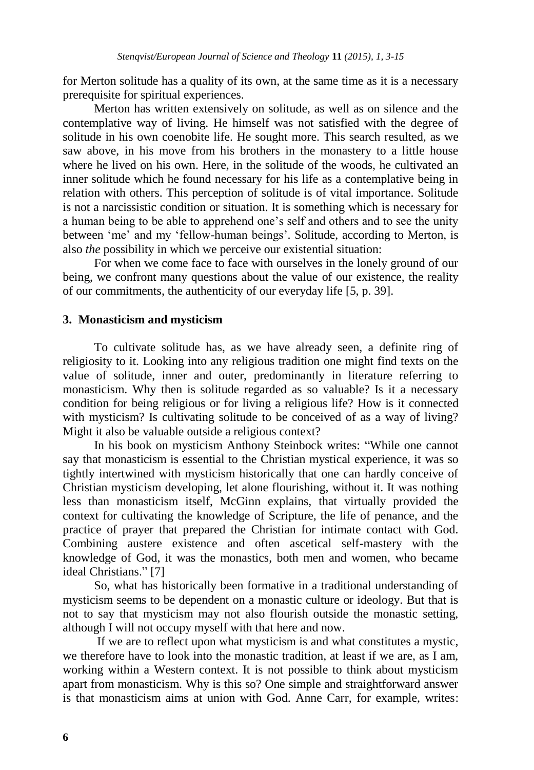for Merton solitude has a quality of its own, at the same time as it is a necessary prerequisite for spiritual experiences.

Merton has written extensively on solitude, as well as on silence and the contemplative way of living. He himself was not satisfied with the degree of solitude in his own coenobite life. He sought more. This search resulted, as we saw above, in his move from his brothers in the monastery to a little house where he lived on his own. Here, in the solitude of the woods, he cultivated an inner solitude which he found necessary for his life as a contemplative being in relation with others. This perception of solitude is of vital importance. Solitude is not a narcissistic condition or situation. It is something which is necessary for a human being to be able to apprehend one"s self and others and to see the unity between 'me' and my 'fellow-human beings'. Solitude, according to Merton, is also *the* possibility in which we perceive our existential situation:

For when we come face to face with ourselves in the lonely ground of our being, we confront many questions about the value of our existence, the reality of our commitments, the authenticity of our everyday life [5, p. 39].

#### **3. Monasticism and mysticism**

To cultivate solitude has, as we have already seen, a definite ring of religiosity to it. Looking into any religious tradition one might find texts on the value of solitude, inner and outer, predominantly in literature referring to monasticism. Why then is solitude regarded as so valuable? Is it a necessary condition for being religious or for living a religious life? How is it connected with mysticism? Is cultivating solitude to be conceived of as a way of living? Might it also be valuable outside a religious context?

In his book on mysticism Anthony Steinbock writes: "While one cannot say that monasticism is essential to the Christian mystical experience, it was so tightly intertwined with mysticism historically that one can hardly conceive of Christian mysticism developing, let alone flourishing, without it. It was nothing less than monasticism itself, McGinn explains, that virtually provided the context for cultivating the knowledge of Scripture, the life of penance, and the practice of prayer that prepared the Christian for intimate contact with God. Combining austere existence and often ascetical self-mastery with the knowledge of God, it was the monastics, both men and women, who became ideal Christians." [7]

So, what has historically been formative in a traditional understanding of mysticism seems to be dependent on a monastic culture or ideology. But that is not to say that mysticism may not also flourish outside the monastic setting, although I will not occupy myself with that here and now.

If we are to reflect upon what mysticism is and what constitutes a mystic, we therefore have to look into the monastic tradition, at least if we are, as I am, working within a Western context. It is not possible to think about mysticism apart from monasticism. Why is this so? One simple and straightforward answer is that monasticism aims at union with God. Anne Carr, for example, writes: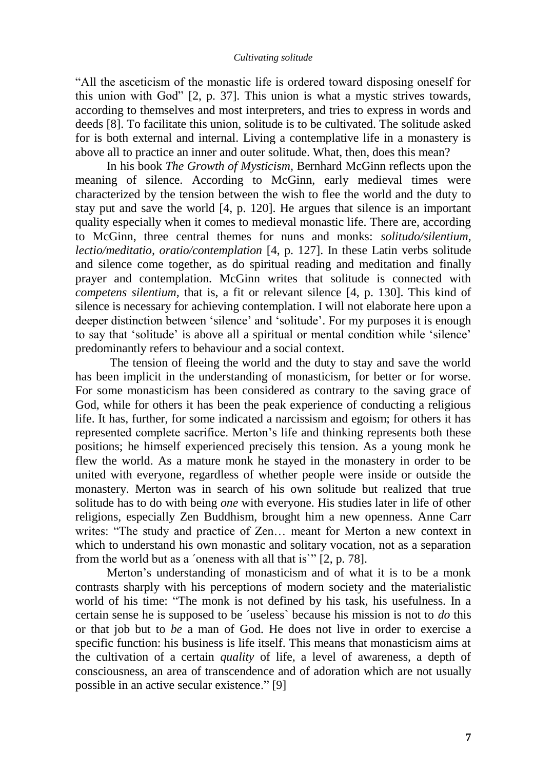#### *Cultivating solitude*

"All the asceticism of the monastic life is ordered toward disposing oneself for this union with God" [2, p. 37]. This union is what a mystic strives towards, according to themselves and most interpreters, and tries to express in words and deeds [8]. To facilitate this union, solitude is to be cultivated. The solitude asked for is both external and internal. Living a contemplative life in a monastery is above all to practice an inner and outer solitude. What, then, does this mean?

In his book *The Growth of Mysticism,* Bernhard McGinn reflects upon the meaning of silence. According to McGinn, early medieval times were characterized by the tension between the wish to flee the world and the duty to stay put and save the world [4, p. 120]. He argues that silence is an important quality especially when it comes to medieval monastic life. There are, according to McGinn, three central themes for nuns and monks: *solitudo/silentium, lectio/meditatio, oratio/contemplation* [4, p. 127]. In these Latin verbs solitude and silence come together, as do spiritual reading and meditation and finally prayer and contemplation. McGinn writes that solitude is connected with *competens silentium,* that is, a fit or relevant silence [4, p. 130]. This kind of silence is necessary for achieving contemplation. I will not elaborate here upon a deeper distinction between "silence" and "solitude". For my purposes it is enough to say that "solitude" is above all a spiritual or mental condition while "silence" predominantly refers to behaviour and a social context.

The tension of fleeing the world and the duty to stay and save the world has been implicit in the understanding of monasticism, for better or for worse. For some monasticism has been considered as contrary to the saving grace of God, while for others it has been the peak experience of conducting a religious life. It has, further, for some indicated a narcissism and egoism; for others it has represented complete sacrifice. Merton"s life and thinking represents both these positions; he himself experienced precisely this tension. As a young monk he flew the world. As a mature monk he stayed in the monastery in order to be united with everyone, regardless of whether people were inside or outside the monastery. Merton was in search of his own solitude but realized that true solitude has to do with being *one* with everyone. His studies later in life of other religions, especially Zen Buddhism, brought him a new openness. Anne Carr writes: "The study and practice of Zen… meant for Merton a new context in which to understand his own monastic and solitary vocation, not as a separation from the world but as a ´oneness with all that is`" [2, p. 78].

Merton"s understanding of monasticism and of what it is to be a monk contrasts sharply with his perceptions of modern society and the materialistic world of his time: "The monk is not defined by his task, his usefulness. In a certain sense he is supposed to be ´useless` because his mission is not to *do* this or that job but to *be* a man of God. He does not live in order to exercise a specific function: his business is life itself. This means that monasticism aims at the cultivation of a certain *quality* of life, a level of awareness, a depth of consciousness, an area of transcendence and of adoration which are not usually possible in an active secular existence." [9]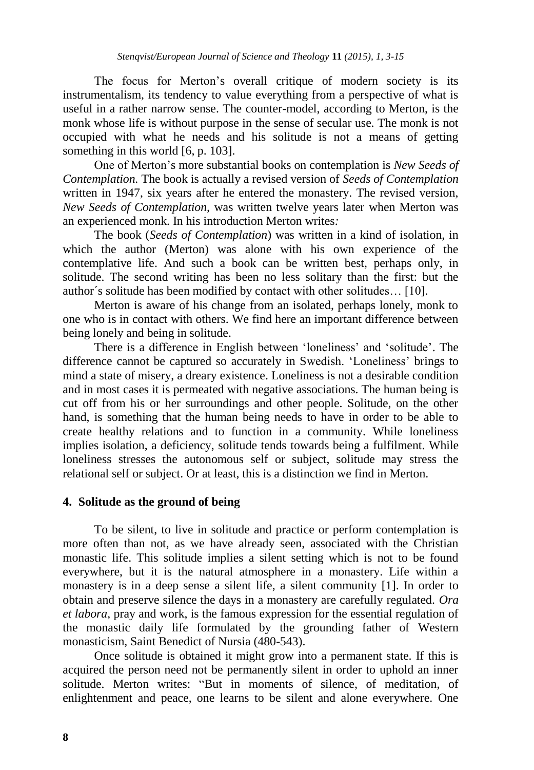The focus for Merton"s overall critique of modern society is its instrumentalism, its tendency to value everything from a perspective of what is useful in a rather narrow sense. The counter-model, according to Merton, is the monk whose life is without purpose in the sense of secular use. The monk is not occupied with what he needs and his solitude is not a means of getting something in this world [6, p. 103].

One of Merton"s more substantial books on contemplation is *New Seeds of Contemplation.* The book is actually a revised version of *Seeds of Contemplation*  written in 1947, six years after he entered the monastery. The revised version, *New Seeds of Contemplation,* was written twelve years later when Merton was an experienced monk. In his introduction Merton writes*:* 

The book (*Seeds of Contemplation*) was written in a kind of isolation, in which the author (Merton) was alone with his own experience of the contemplative life. And such a book can be written best, perhaps only, in solitude. The second writing has been no less solitary than the first: but the author´s solitude has been modified by contact with other solitudes… [10].

Merton is aware of his change from an isolated, perhaps lonely, monk to one who is in contact with others. We find here an important difference between being lonely and being in solitude.

There is a difference in English between "loneliness" and "solitude". The difference cannot be captured so accurately in Swedish. "Loneliness" brings to mind a state of misery, a dreary existence. Loneliness is not a desirable condition and in most cases it is permeated with negative associations. The human being is cut off from his or her surroundings and other people. Solitude, on the other hand, is something that the human being needs to have in order to be able to create healthy relations and to function in a community. While loneliness implies isolation, a deficiency, solitude tends towards being a fulfilment. While loneliness stresses the autonomous self or subject, solitude may stress the relational self or subject. Or at least, this is a distinction we find in Merton.

# **4. Solitude as the ground of being**

To be silent, to live in solitude and practice or perform contemplation is more often than not, as we have already seen, associated with the Christian monastic life. This solitude implies a silent setting which is not to be found everywhere, but it is the natural atmosphere in a monastery. Life within a monastery is in a deep sense a silent life, a silent community [1]. In order to obtain and preserve silence the days in a monastery are carefully regulated. *Ora et labora*, pray and work, is the famous expression for the essential regulation of the monastic daily life formulated by the grounding father of Western monasticism, Saint Benedict of Nursia (480-543).

Once solitude is obtained it might grow into a permanent state. If this is acquired the person need not be permanently silent in order to uphold an inner solitude. Merton writes: "But in moments of silence, of meditation, of enlightenment and peace, one learns to be silent and alone everywhere. One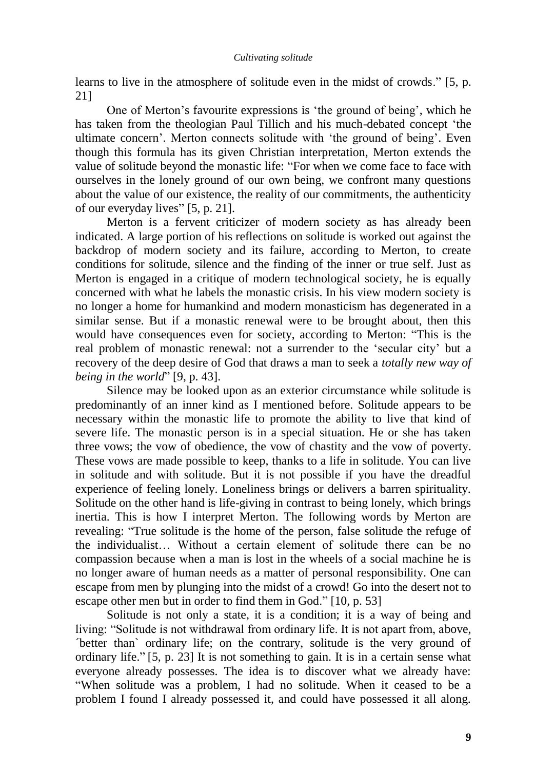learns to live in the atmosphere of solitude even in the midst of crowds." [5, p. 21]

One of Merton"s favourite expressions is "the ground of being", which he has taken from the theologian Paul Tillich and his much-debated concept "the ultimate concern". Merton connects solitude with "the ground of being". Even though this formula has its given Christian interpretation, Merton extends the value of solitude beyond the monastic life: "For when we come face to face with ourselves in the lonely ground of our own being, we confront many questions about the value of our existence, the reality of our commitments, the authenticity of our everyday lives" [5, p. 21].

Merton is a fervent criticizer of modern society as has already been indicated. A large portion of his reflections on solitude is worked out against the backdrop of modern society and its failure, according to Merton, to create conditions for solitude, silence and the finding of the inner or true self. Just as Merton is engaged in a critique of modern technological society, he is equally concerned with what he labels the monastic crisis. In his view modern society is no longer a home for humankind and modern monasticism has degenerated in a similar sense. But if a monastic renewal were to be brought about, then this would have consequences even for society, according to Merton: "This is the real problem of monastic renewal: not a surrender to the "secular city" but a recovery of the deep desire of God that draws a man to seek a *totally new way of being in the world*" [9, p. 43].

Silence may be looked upon as an exterior circumstance while solitude is predominantly of an inner kind as I mentioned before. Solitude appears to be necessary within the monastic life to promote the ability to live that kind of severe life. The monastic person is in a special situation. He or she has taken three vows; the vow of obedience, the vow of chastity and the vow of poverty. These vows are made possible to keep, thanks to a life in solitude. You can live in solitude and with solitude. But it is not possible if you have the dreadful experience of feeling lonely. Loneliness brings or delivers a barren spirituality. Solitude on the other hand is life-giving in contrast to being lonely, which brings inertia. This is how I interpret Merton. The following words by Merton are revealing: "True solitude is the home of the person, false solitude the refuge of the individualist… Without a certain element of solitude there can be no compassion because when a man is lost in the wheels of a social machine he is no longer aware of human needs as a matter of personal responsibility. One can escape from men by plunging into the midst of a crowd! Go into the desert not to escape other men but in order to find them in God." [10, p. 53]

Solitude is not only a state, it is a condition; it is a way of being and living: "Solitude is not withdrawal from ordinary life. It is not apart from, above, ´better than` ordinary life; on the contrary, solitude is the very ground of ordinary life." [5, p. 23] It is not something to gain. It is in a certain sense what everyone already possesses. The idea is to discover what we already have: "When solitude was a problem, I had no solitude. When it ceased to be a problem I found I already possessed it, and could have possessed it all along.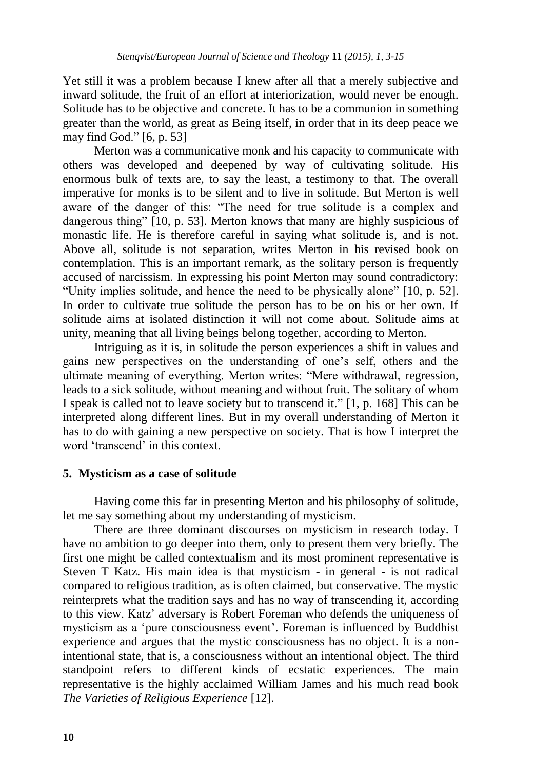Yet still it was a problem because I knew after all that a merely subjective and inward solitude, the fruit of an effort at interiorization, would never be enough. Solitude has to be objective and concrete. It has to be a communion in something greater than the world, as great as Being itself, in order that in its deep peace we may find God." [6, p. 53]

Merton was a communicative monk and his capacity to communicate with others was developed and deepened by way of cultivating solitude. His enormous bulk of texts are, to say the least, a testimony to that. The overall imperative for monks is to be silent and to live in solitude. But Merton is well aware of the danger of this: "The need for true solitude is a complex and dangerous thing" [10, p. 53]. Merton knows that many are highly suspicious of monastic life. He is therefore careful in saying what solitude is, and is not. Above all, solitude is not separation, writes Merton in his revised book on contemplation. This is an important remark, as the solitary person is frequently accused of narcissism. In expressing his point Merton may sound contradictory: "Unity implies solitude, and hence the need to be physically alone" [10, p. 52]. In order to cultivate true solitude the person has to be on his or her own. If solitude aims at isolated distinction it will not come about. Solitude aims at unity, meaning that all living beings belong together, according to Merton.

Intriguing as it is, in solitude the person experiences a shift in values and gains new perspectives on the understanding of one"s self, others and the ultimate meaning of everything. Merton writes: "Mere withdrawal, regression, leads to a sick solitude, without meaning and without fruit. The solitary of whom I speak is called not to leave society but to transcend it." [1, p. 168] This can be interpreted along different lines. But in my overall understanding of Merton it has to do with gaining a new perspective on society. That is how I interpret the word 'transcend' in this context.

# **5. Mysticism as a case of solitude**

Having come this far in presenting Merton and his philosophy of solitude, let me say something about my understanding of mysticism.

There are three dominant discourses on mysticism in research today. I have no ambition to go deeper into them, only to present them very briefly. The first one might be called contextualism and its most prominent representative is Steven T Katz. His main idea is that mysticism - in general - is not radical compared to religious tradition, as is often claimed, but conservative. The mystic reinterprets what the tradition says and has no way of transcending it, according to this view. Katz" adversary is Robert Foreman who defends the uniqueness of mysticism as a "pure consciousness event". Foreman is influenced by Buddhist experience and argues that the mystic consciousness has no object. It is a nonintentional state, that is, a consciousness without an intentional object. The third standpoint refers to different kinds of ecstatic experiences. The main representative is the highly acclaimed William James and his much read book *The Varieties of Religious Experience* [12].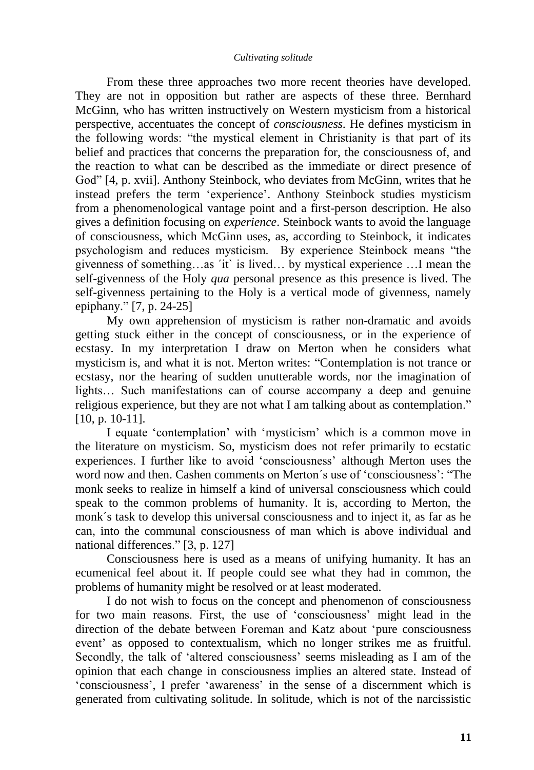#### *Cultivating solitude*

From these three approaches two more recent theories have developed. They are not in opposition but rather are aspects of these three. Bernhard McGinn, who has written instructively on Western mysticism from a historical perspective, accentuates the concept of *consciousness*. He defines mysticism in the following words: "the mystical element in Christianity is that part of its belief and practices that concerns the preparation for, the consciousness of, and the reaction to what can be described as the immediate or direct presence of God" [4, p. xvii]. Anthony Steinbock, who deviates from McGinn, writes that he instead prefers the term "experience". Anthony Steinbock studies mysticism from a phenomenological vantage point and a first-person description. He also gives a definition focusing on *experience*. Steinbock wants to avoid the language of consciousness, which McGinn uses, as, according to Steinbock, it indicates psychologism and reduces mysticism. By experience Steinbock means "the givenness of something…as ´it` is lived… by mystical experience …I mean the self-givenness of the Holy *qua* personal presence as this presence is lived. The self-givenness pertaining to the Holy is a vertical mode of givenness, namely epiphany." [7, p. 24-25]

My own apprehension of mysticism is rather non-dramatic and avoids getting stuck either in the concept of consciousness, or in the experience of ecstasy. In my interpretation I draw on Merton when he considers what mysticism is, and what it is not. Merton writes: "Contemplation is not trance or ecstasy, nor the hearing of sudden unutterable words, nor the imagination of lights… Such manifestations can of course accompany a deep and genuine religious experience, but they are not what I am talking about as contemplation." [10, p. 10-11].

I equate "contemplation" with "mysticism" which is a common move in the literature on mysticism. So, mysticism does not refer primarily to ecstatic experiences. I further like to avoid 'consciousness' although Merton uses the word now and then. Cashen comments on Merton´s use of "consciousness": "The monk seeks to realize in himself a kind of universal consciousness which could speak to the common problems of humanity. It is, according to Merton, the monk´s task to develop this universal consciousness and to inject it, as far as he can, into the communal consciousness of man which is above individual and national differences." [3, p. 127]

Consciousness here is used as a means of unifying humanity. It has an ecumenical feel about it. If people could see what they had in common, the problems of humanity might be resolved or at least moderated.

I do not wish to focus on the concept and phenomenon of consciousness for two main reasons. First, the use of "consciousness" might lead in the direction of the debate between Foreman and Katz about "pure consciousness event" as opposed to contextualism, which no longer strikes me as fruitful. Secondly, the talk of 'altered consciousness' seems misleading as I am of the opinion that each change in consciousness implies an altered state. Instead of "consciousness", I prefer "awareness" in the sense of a discernment which is generated from cultivating solitude. In solitude, which is not of the narcissistic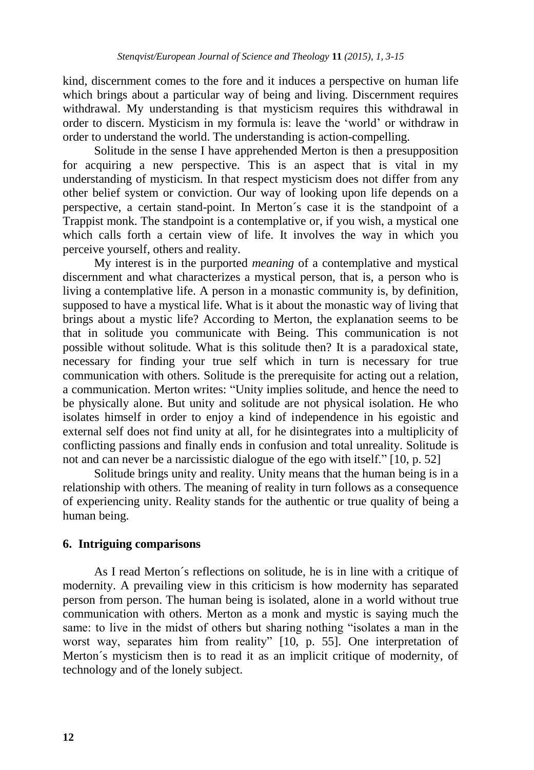kind, discernment comes to the fore and it induces a perspective on human life which brings about a particular way of being and living. Discernment requires withdrawal. My understanding is that mysticism requires this withdrawal in order to discern. Mysticism in my formula is: leave the "world" or withdraw in order to understand the world. The understanding is action-compelling.

Solitude in the sense I have apprehended Merton is then a presupposition for acquiring a new perspective. This is an aspect that is vital in my understanding of mysticism. In that respect mysticism does not differ from any other belief system or conviction. Our way of looking upon life depends on a perspective, a certain stand-point. In Merton´s case it is the standpoint of a Trappist monk. The standpoint is a contemplative or, if you wish, a mystical one which calls forth a certain view of life. It involves the way in which you perceive yourself, others and reality.

My interest is in the purported *meaning* of a contemplative and mystical discernment and what characterizes a mystical person, that is, a person who is living a contemplative life. A person in a monastic community is, by definition, supposed to have a mystical life. What is it about the monastic way of living that brings about a mystic life? According to Merton, the explanation seems to be that in solitude you communicate with Being. This communication is not possible without solitude. What is this solitude then? It is a paradoxical state, necessary for finding your true self which in turn is necessary for true communication with others. Solitude is the prerequisite for acting out a relation, a communication. Merton writes: "Unity implies solitude, and hence the need to be physically alone. But unity and solitude are not physical isolation. He who isolates himself in order to enjoy a kind of independence in his egoistic and external self does not find unity at all, for he disintegrates into a multiplicity of conflicting passions and finally ends in confusion and total unreality. Solitude is not and can never be a narcissistic dialogue of the ego with itself." [10, p. 52]

Solitude brings unity and reality. Unity means that the human being is in a relationship with others. The meaning of reality in turn follows as a consequence of experiencing unity. Reality stands for the authentic or true quality of being a human being.

# **6. Intriguing comparisons**

As I read Merton´s reflections on solitude, he is in line with a critique of modernity. A prevailing view in this criticism is how modernity has separated person from person. The human being is isolated, alone in a world without true communication with others. Merton as a monk and mystic is saying much the same: to live in the midst of others but sharing nothing "isolates a man in the worst way, separates him from reality" [10, p. 55]. One interpretation of Merton´s mysticism then is to read it as an implicit critique of modernity, of technology and of the lonely subject.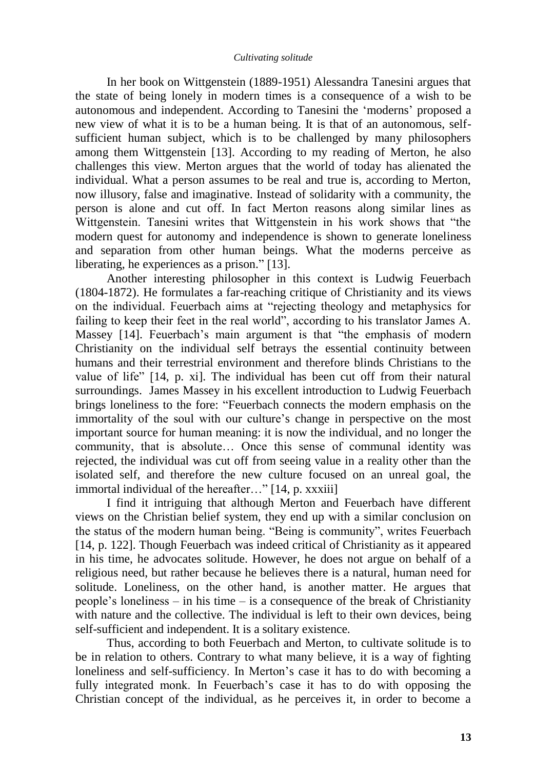In her book on Wittgenstein (1889-1951) Alessandra Tanesini argues that the state of being lonely in modern times is a consequence of a wish to be autonomous and independent. According to Tanesini the "moderns" proposed a new view of what it is to be a human being. It is that of an autonomous, selfsufficient human subject, which is to be challenged by many philosophers among them Wittgenstein [13]. According to my reading of Merton, he also challenges this view. Merton argues that the world of today has alienated the individual. What a person assumes to be real and true is, according to Merton, now illusory, false and imaginative. Instead of solidarity with a community, the person is alone and cut off. In fact Merton reasons along similar lines as Wittgenstein. Tanesini writes that Wittgenstein in his work shows that "the modern quest for autonomy and independence is shown to generate loneliness and separation from other human beings. What the moderns perceive as liberating, he experiences as a prison." [13].

Another interesting philosopher in this context is Ludwig Feuerbach (1804-1872). He formulates a far-reaching critique of Christianity and its views on the individual. Feuerbach aims at "rejecting theology and metaphysics for failing to keep their feet in the real world", according to his translator James A. Massey [14]. Feuerbach"s main argument is that "the emphasis of modern Christianity on the individual self betrays the essential continuity between humans and their terrestrial environment and therefore blinds Christians to the value of life" [14, p. xi]. The individual has been cut off from their natural surroundings. James Massey in his excellent introduction to Ludwig Feuerbach brings loneliness to the fore: "Feuerbach connects the modern emphasis on the immortality of the soul with our culture"s change in perspective on the most important source for human meaning: it is now the individual, and no longer the community, that is absolute… Once this sense of communal identity was rejected, the individual was cut off from seeing value in a reality other than the isolated self, and therefore the new culture focused on an unreal goal, the immortal individual of the hereafter…" [14, p. xxxiii]

I find it intriguing that although Merton and Feuerbach have different views on the Christian belief system, they end up with a similar conclusion on the status of the modern human being. "Being is community", writes Feuerbach [14, p. 122]. Though Feuerbach was indeed critical of Christianity as it appeared in his time, he advocates solitude. However, he does not argue on behalf of a religious need, but rather because he believes there is a natural, human need for solitude. Loneliness, on the other hand, is another matter. He argues that people"s loneliness – in his time – is a consequence of the break of Christianity with nature and the collective. The individual is left to their own devices, being self-sufficient and independent. It is a solitary existence.

Thus, according to both Feuerbach and Merton, to cultivate solitude is to be in relation to others. Contrary to what many believe, it is a way of fighting loneliness and self-sufficiency. In Merton's case it has to do with becoming a fully integrated monk. In Feuerbach's case it has to do with opposing the Christian concept of the individual, as he perceives it, in order to become a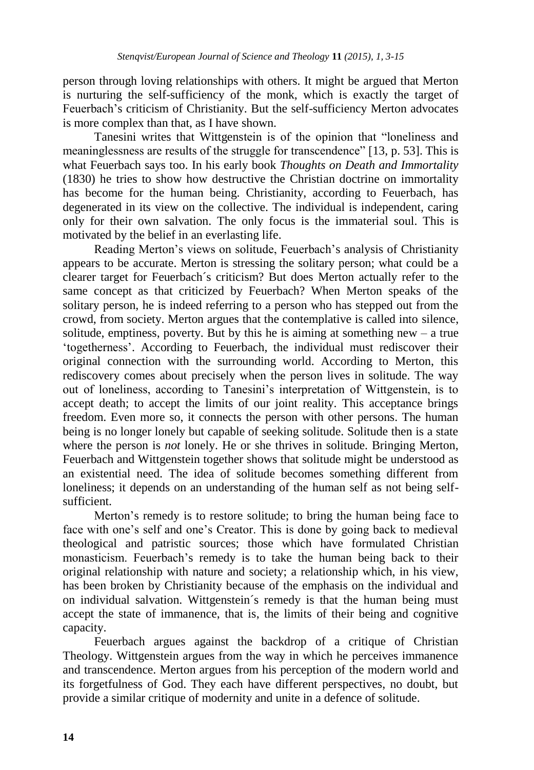person through loving relationships with others. It might be argued that Merton is nurturing the self-sufficiency of the monk, which is exactly the target of Feuerbach"s criticism of Christianity. But the self-sufficiency Merton advocates is more complex than that, as I have shown.

Tanesini writes that Wittgenstein is of the opinion that "loneliness and meaninglessness are results of the struggle for transcendence" [13, p. 53]. This is what Feuerbach says too. In his early book *Thoughts on Death and Immortality*  (1830) he tries to show how destructive the Christian doctrine on immortality has become for the human being. Christianity, according to Feuerbach, has degenerated in its view on the collective. The individual is independent, caring only for their own salvation. The only focus is the immaterial soul. This is motivated by the belief in an everlasting life.

Reading Merton"s views on solitude, Feuerbach"s analysis of Christianity appears to be accurate. Merton is stressing the solitary person; what could be a clearer target for Feuerbach´s criticism? But does Merton actually refer to the same concept as that criticized by Feuerbach? When Merton speaks of the solitary person, he is indeed referring to a person who has stepped out from the crowd, from society. Merton argues that the contemplative is called into silence, solitude, emptiness, poverty. But by this he is aiming at something new  $-$  a true "togetherness". According to Feuerbach, the individual must rediscover their original connection with the surrounding world. According to Merton, this rediscovery comes about precisely when the person lives in solitude. The way out of loneliness, according to Tanesini"s interpretation of Wittgenstein, is to accept death; to accept the limits of our joint reality. This acceptance brings freedom. Even more so, it connects the person with other persons. The human being is no longer lonely but capable of seeking solitude. Solitude then is a state where the person is *not* lonely. He or she thrives in solitude. Bringing Merton, Feuerbach and Wittgenstein together shows that solitude might be understood as an existential need. The idea of solitude becomes something different from loneliness; it depends on an understanding of the human self as not being selfsufficient.

Merton"s remedy is to restore solitude; to bring the human being face to face with one"s self and one"s Creator. This is done by going back to medieval theological and patristic sources; those which have formulated Christian monasticism. Feuerbach"s remedy is to take the human being back to their original relationship with nature and society; a relationship which, in his view, has been broken by Christianity because of the emphasis on the individual and on individual salvation. Wittgenstein´s remedy is that the human being must accept the state of immanence, that is, the limits of their being and cognitive capacity.

Feuerbach argues against the backdrop of a critique of Christian Theology. Wittgenstein argues from the way in which he perceives immanence and transcendence. Merton argues from his perception of the modern world and its forgetfulness of God. They each have different perspectives, no doubt, but provide a similar critique of modernity and unite in a defence of solitude.